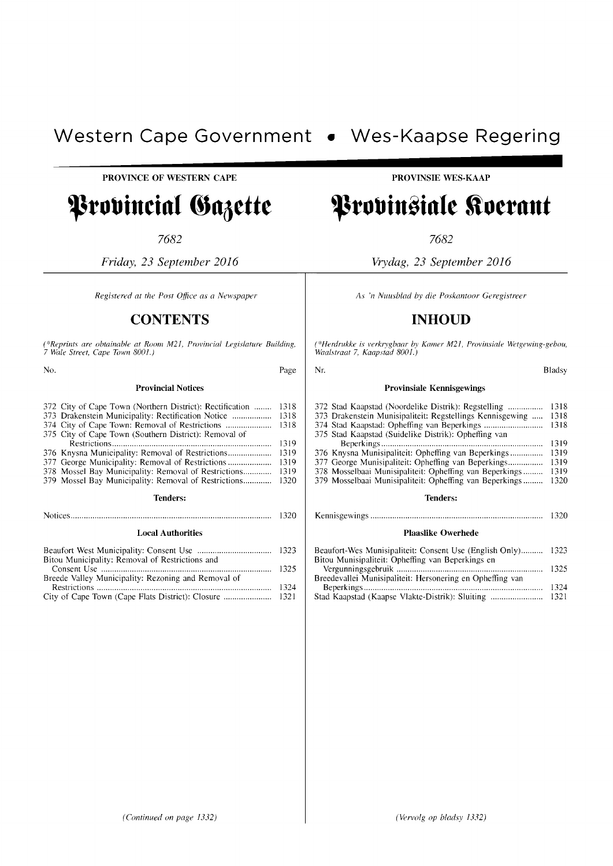# **Western Cape Government** • **Wes-Kaapse Regering**  PROVINCE OF WESTERN CAPE **.......... ..**

**------------------------**

# Provincial Gazette

7682

*Friday,* 23 *September 2016* 

*Registered at the Post Office as a Newspaper* 

# **CONTENTS**

(\*Reprints are obtainable at Room M21, Provincial Legislature Building,<br>7 Wale Street, Cape Town 8001.)

No. Page

# Provincial Notices

| 372 City of Cape Town (Northern District): Rectification |  | 1318 |  |
|----------------------------------------------------------|--|------|--|
| 373 Drakenstein Municipality: Rectification Notice       |  | 1318 |  |
| 374 City of Cape Town: Removal of Restrictions           |  | 1318 |  |
| 375 City of Cape Town (Southern District): Removal of    |  |      |  |
|                                                          |  | 1319 |  |
| 376 Knysna Municipality: Removal of Restrictions         |  | 1319 |  |
| 377 George Municipality: Removal of Restrictions         |  | 1319 |  |
|                                                          |  | 1319 |  |
|                                                          |  | 1320 |  |
| <b>Tenders:</b>                                          |  |      |  |
|                                                          |  | 1320 |  |
| Local Authorities                                        |  |      |  |

# Local Authorities

| Bitou Municipality: Removal of Restrictions and     |  |
|-----------------------------------------------------|--|
|                                                     |  |
| Breede Valley Municipality: Rezoning and Removal of |  |
|                                                     |  |
|                                                     |  |

PROVINSIE WES-KAAP

# Provinsiale Koerant

7682

*Vrydag,* 23 *September 2016* 

*As* '/1 *Nuusblad by die Poskantoor Geregistreer* 

# **INHOUD**

*(\*Herdrukke is verkrygbaar by Kamer M21, Provinsiale Wetgewing-gebou, Waalstraat* 7, *Kaapstad 8001.)* 

| Nr.<br>Bladsv                                             |      |  |  |
|-----------------------------------------------------------|------|--|--|
| <b>Provinsiale Kennisgewings</b>                          |      |  |  |
| 372 Stad Kaapstad (Noordelike Distrik): Regstelling       | 1318 |  |  |
| 373 Drakenstein Munisipaliteit: Regstellings Kennisgewing | 1318 |  |  |
|                                                           | 1318 |  |  |
| 375 Stad Kaapstad (Suidelike Distrik): Opheffing van      |      |  |  |
|                                                           | 1319 |  |  |
| 376 Knysna Munisipaliteit: Opheffing van Beperkings       | 1319 |  |  |
| 377 George Munisipaliteit: Opheffing van Beperkings       | 1319 |  |  |
| 378 Mosselbaai Munisipaliteit: Opheffing van Beperkings   | 1319 |  |  |
| 379 Mosselbaai Munisipaliteit: Opheffing van Beperkings   | 1320 |  |  |
| Tenders:                                                  |      |  |  |
|                                                           | 1320 |  |  |

# Plaaslike Owerhede

| Beaufort-Wes Munisipaliteit: Consent Use (English Only) 1323 |  |
|--------------------------------------------------------------|--|
| Bitou Munisipaliteit: Opheffing van Beperkings en            |  |
|                                                              |  |
| Breedevallei Munisipaliteit: Hersonering en Opheffing van    |  |
|                                                              |  |
| Stad Kaapstad (Kaapse Vlakte-Distrik): Sluiting  1321        |  |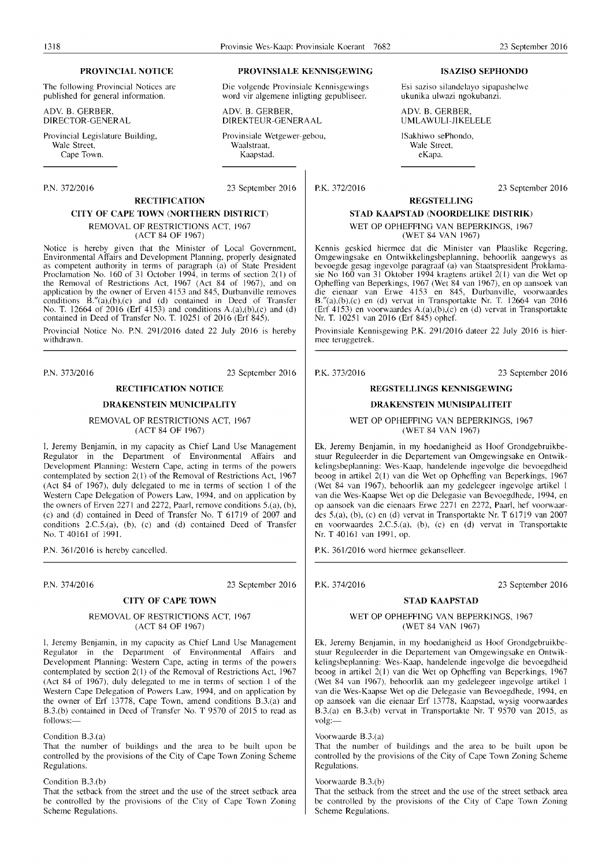The following Provincial Notices are published for general information.

ADY. B. GERBER, DIRECTOR-GENERAL

Provincial Legislature Building, Wale Street,<br>Cape Town.

# P.N. 37212016 23 September 2016 **RECTIFICATION**

# **CITY OF CAPE TOWN (NORTHERN DISTRICT)**

REMOVAL OF RESTRICTIONS ACT, 1967 (ACT 84 OF 1967)

Notice is hereby given that the Minister of Local Government, Environmental Affairs and Development Planning, properly designated as competent authority in terms of paragraph (a) of State President Proclamation No. 160 of 31 October 1994, in terms of section  $2(1)$  of the Removal of Restrictions Act, 1967 (Act 84 of 1967), and on application by the owner of Erven 4153 and 845, Durbanville removes conditions B."(a),(b),(c) and (d) contained in Deed of Transfer No. T. 12664 of 2016 (Erf 4153) and conditions A.(a),(b),(c) and (d) contained in Deed of Transfer No. T. 10251 of 2016 (Erf 845).

Provincial Notice No. P.N. 29112016 dated 22 July 2016 is hereby withdrawn.

P.N. 373/2016 23 September 2016

# **RECTIFICATION NOTICE**

# **DRAKENSTEIN MUNICIPALITY**

REMOVAL OF RESTRICTIONS ACT, 1967 (ACT 84 OF 1967)

I, Jeremy Benjamin, in my capacity as Chief Land Use Management Regulator in the Department of Environmental Affairs and Development Planning: Western Cape, acting in terms of the powers contemplated by section  $2(1)$  of the Removal of Restrictions Act, 1967 (Act 84 of 1967), duly delegated to me in terms of section I of the Western Cape Delegation of Powers Law, 1994, and on application by the owners of Erven 2271 and 2272, Paarl, remove conditions 5.(a), (b), (c) and (d) contained in Deed of Transfer No. T  $61719$  of  $2007$  and conditions 2.C.5.(a), (b), (c) and (d) contained Deed of Transfer No. T 40161 of 1991.

P.N. 361/2016 is hereby cancelled.

P.N. 374/2016 23 September 2016

# **CITY OF CAPE TOWN**

# REMOVAL OF RESTRICTIONS ACT, 1967 (ACT 84 OF 1967)

I, Jeremy Benjamin, in my capacity as Chief Land Use Management Regulator in the Department of Environmental Affairs and Development Planning: Western Cape, acting in terms of the powers contemplated by section 2(1) of the Removal of Restrictions Act, 1967 (Act 84 of 1967), duly delegated to me in terms of section I of the Western Cape Delegation of Powers Law, 1994, and on application by the owner of Erf 13778, Cape Town, amend conditions B.3.(a) and B.3.(b) contained in Deed of Transfer No. T 9570 of 2015 to read as follows:-

## Condition B.3.(a)

That the number of buildings and the area to be built upon be controlled by the provisions of the City of Cape Town Zoning Scheme Regulations.

# Condition B.3.(b)

That the setback from the street and the use of the street setback area be controlled by the provisions of the City of Cape Town Zoning Scheme Regulations.

# **PROVINCIAL NOTICE PROVINSIALE KENNISGEWING ISAZISO SEPHONDO**

Die volgende Provinsiale Kennisgewings word vir algemene inligting gepubliseer.

ADV. B. GERBER, DIREKTEUR-GENERAAL

Provinsiale Wetgewer-gebou, Waalstraat,<br>Kaapstad. Cape Town. Kaapstad. eKapa.

P.K. 37212016 23 September 2016

# **REGSTELLING STAD KAAPSTAD (NOORDELIKE DISTRIK)**

Esi saziso silandelayo sipapashelwe ukunika ulwazi ngokubanzi.

WET OP OPHEFFING VAN BEPERKINGS, 1967 (WET 84 VAN 1967)

ADY. B. GERBER, UMLA WULI -JI KELELE

ISakhiwo sePhondo, Wale Street,<br>eKapa.

Kennis geskied hiermee dat die Minister van Plaaslike Regering, Omgewingsake en Ontwikkelingsbeplanning, behoorlik aangewys as bevoegde gesag ingevolge paragraaf (a) van Staatspresident Proklamasie No 160 van 31 Oktober 1994 kragtens artikel 2( I) van die Wet op Opheffing van Beperkings, 1967 (Wet 84 van 1967), en op aansoek van die eienaar van Erwe 4153 en 845, Durbanville, voorwaardes B."(a),(b),(c) en (d) vervat in Transportakte Nr. T. 12664 van 2016 (Erf  $4153$ ) en voorwaardes A.(a),(b),(c) en (d) vervat in Transportakte Nr. T. 10251 van 2016 (Erf 845) ophef.

Provinsiale Kennisgewing P.K. 291/2016 dateer 22 July 2016 is hiermee teruggetrek.

P.K. 37312016 23 September 2016

# **REGSTELLINGS KENNISGEWING**

# **DRAKENSTEIN MUNISIPALITEIT**

WET OP OPHEFFING VAN BEPERKINGS, 1967 (WET 84 VAN 1967)

Ek, Jeremy Benjamin, in my hoedanigheid as Hoof Grondgebruikbestuur Reguleerder in die Departement van Omgewingsake en Ontwikkelingsbeplanning: Wes-Kaap, handelende ingevolge die bevoegdheid beoog in artikel 2(1) van die Wet op Opheffing van Beperkings, 1967 (Wet 84 van 1967), behoorlik aan my gedelegeer ingevolge artikel I van die Wes-Kaapse Wet op die Delegasie van Bevoegdhede, 1994, en op aansoek van die eienaars Erwe 2271 en 2272, Paarl, hef voorwaardes 5.(01), (b), (c) en (d) vervat in Transportakte Nr. T 61719 van 2007 en voorwaardes 2.C.5.(a), (b), (c) en (d) vervat in Transportakte Nr. T 40161 van 1991, op.

P.K. 361/2016 word hiermee gekanselleer.

P.K. 374/2016 23 September 2016

# **STAD KAAPSTAD**

# WET OP OPHEFFING VAN BEPERKINGS, 1967 (WET 84 VAN 1967)

Ek, Jeremy Benjamin, in my hoedanigheid as Hoof Grondgebruikbestuur Reguleerder in die Departement van Omgewingsake en Ontwikkelingsbeplanning: Wes-Kaap, handelende ingevolge die bevoegdheid beoog in artikel 2( I) van die Wet op Ophefting van Beperkings, 1967 (Wet 84 van 1967), behoorlik aan my gedelegeer ingevolge artikel I van die Wes-Kaapse Wet op die Delegasie van Bevoegdhede, 1994, en op aansoek van die eienaar Erf 13778, Kaapstad, wysig voorwaardes B.3.(a) en B.3.(b) vervat in Transportakte Nr. T 9570 van 2015, as volg:-

# Voorwaarde B.3.(a)

That the number of buildings and the area to be built upon be controlled by the provisions of the City of Cape Town Zoning Scheme Regulations.

# Voorwaarde B.3.(b)

That the setback from the street and the use of the street setback area be controlled by the provisions of the City of Cape Town Zoning Scheme Regulations.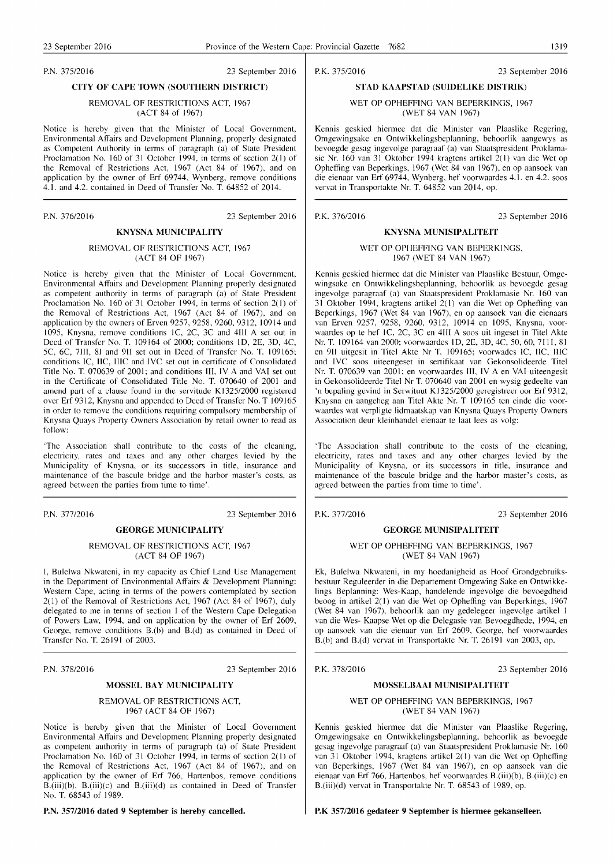P.N. 37512016 23 September 2016

# CITY OF CAPE TOWN (SOUTHERN DISTRICT)

## REMOVAL OF RESTRICTIONS ACT. 1967 (ACT 84 of 1967)

Notice is hereby given that the Minister of Local Government, Environmental Affairs and Development Planning, properly designated as Competent Authority in terms of paragraph (a) of State President Proclamation No. 160 of 31 October 1994, in terms of section 2(1) of the Removal of Restrictions Act, 1967 (Act 84 of 1967), and on application by the owner of Erf 69744, Wynberg, remove conditions 4.1. and 4.2. contained in Deed of Transfer No. T. 64852 of 2014.

P.N. 376/2016 23 September 2016

# KNYSNA MUNICIPALITY

# REMOVAL OF RESTRICTIONS ACT, 1967 (ACT 84 OF 1967)

Notice is hereby given that the Minister of Local Government, Environmental Affairs and Development Planning properly designated as competent authority in terms of paragraph (a) of State President Proclamation No. 160 of 31 October 1994, in terms of section 2( I) of the Removal of Restrictions Act, 1967 (Act 84 of 1967), and on application by the owners of Erven  $9257, 9258, 9260, 9312, 10914$  and 1095, Knysna, remove conditions IC, 2C, 3C and 4III A set out in Deed of Transfer No. T. 109164 of 2000; conditions lD, 2E, 3D, 4C, 5C, 6C, 7II1, 81 and 911 set out in Deed of Transfer No. T. 109165; conditions IC, IIC, IIIC and IVC set out in certificate of Consolidated Title No. T. 070639 of 2001; and conditions III, IV A and VAl set out in the Certificate of Consolidated Title No. T. 070640 of 2001 and amend part of a clause found in the servitude KI325/2000 registered over Erf 9312, Knysna and appended to Deed of Transfer No. T 109165 in order to remove the conditions requiring compulsory membership of Knysna Quays Property Owners Association by retail owner to read as follow:

'The Association shall contribute to the costs of the cleaning, electricity, rates and taxes and any other charges levied by the Municipality of Knysna, or its successors in title, insurance and maintenance of the bascule bridge and the harbor master's costs, as agreed between the parties from time to time'.

P.N. 37712016 23 September 2016

# GEORGE MUNICIPALITY

# REMOVAL OF RESTRICTIONS ACT, 1967 (ACT 84 OF 1967)

I, Bulelwa Nkwateni, in my capacity as Chief Land Use Management in the Department of Environmental Affairs & Development Planning: Western Cape, acting in terms of the powers contemplated by section 2(1) of the Removal of Restrictions Act, 1967 (Act 84 of 1967), duly delegated to me in terms of section I of the Western Cape Delegation of Powers Law, 1994, and on application by the owner of Erf 2609, George, remove conditions B.(b) and B.(d) as contained in Deed of Transfer No. T. 26191 of 2003.

P.N. 378/2016 23 September 2016

# MOSSEL BAY MUNICIPALITY

# REMOVAL OF RESTRICTIONS ACT, 1967 (ACT 84 OF 1967)

Notice is hereby given that the Minister of Local Government Environmental Affairs and Development Planning properly designated as competent authority in terms of paragraph (a) of State President Proclamation No. 160 of 31 October 1994, in terms of section 2( I) of the Removal of Restrictions Act, 1967 (Act 84 of 1967), and on application by the owner of Erf 766, Hartenbos, remove conditions  $B.(\text{iii})(b)$ ,  $B.(\text{iii})(c)$  and  $B.(\text{iii})(d)$  as contained in Deed of Transfer No. T. 68543 of 1989.

P.N. 357/2016 dated 9 September is hereby cancelled.

P.K. 37512016 23 September 2016

# STAD KAAPSTAD (SUIDELIKE DISTRIK)

WET OP OPHEFFING VAN BEPERKINGS, 1967 (WET 84 VAN 1967)

Kennis geskied hiermee dat die Minister van Plaaslike Regering, Omgewingsake en Ontwikkelingsbeplanning, behoorlik aangewys as bevoegde gesag ingevolge paragraaf (a) van Staatspresident Proklamasie Nr. 160 van 31 Oktober 1994 kragtens artikel 2( I) van die Wet op Ophefting van Beperkings, 1967 (Wet 84 van 1967), en op aansoek van die eienaar van Erf 69744, Wynberg, hef voorwaardes 4.1. en 4.2. soos vervat in Transportakte Nr. T. 64852 van 2014, op.

P.K. 376/2016 23 September 2016

# KNYSNA MUNISIPALITEIT WET OP OPHEFFING VAN BEPERKINGS, 1967 (WET 84 VAN 1967)

Kennis geskied hiermee dat die Minister van Plaaslike Bestuur, Omgewingsake en Ontwikkelingsbeplanning, behoorlik as bevoegde gesag ingevolge paragraaf (a) van Staatspresident Proklamasie Nr. 160 van 31 Oktober 1994, kragtens artikel 2(1) van die Wet op Ophefting van Beperkings, 1967 (Wet 84 van 1967), en op aansoek van die eienaars van Erven 9257, 9258, 9260, 9312, 10914 en 1095, Knysna, voorwaardes op te hef IC, 2C, 3C en 4II1 A soos uit ingeset in Titel Akte Nr. T. 109164 van 2000; voorwaardes 1D, 2E, 3D, 4C, 50, 60, 7111, 81 en 9II uitgesit in Titel Akte Nr T. 109165; voorwades IC, IIC, IIIC and IVC soos uiteengeset in sertifikaat van Gekonsolideerde Titel Nr. T. 070639 van 2001; en voorwaardes III, IV A en VAl uiteengesit in Gekonsolideerde Titel Nr T. 070640 van 2001 en wysig gedeelte van 'n bepaling gevind in Serwituut K 1325/2000 geregistreer oor Erf 9312, Knysna en aangeheg aan Titel Akte Nr. T 109165 ten einde die voorwaardes wat verpligte lidmaatskap van Knysna Quays Property Owners Association deur kleinhandel eienaar te laat lees as volg:

'The Association shall contribute to the costs of the cleaning, electricity, rates and taxes and any other charges levied by the Municipality of Knysna, or its successors in title, insurance and maintenance of the bascule bridge and the harbor master's costs, as agreed between the parties from time to time'.

P.K. 37712016 23 September 2016

# GEORGE MUNISIPALITEIT

# WET OP OPHEFFING VAN BEPERKINGS, 1967 (WET 84 VAN 1967)

Ek, Bulelwa Nkwateni, in my hoedanigheid as Hoof Grondgebruiksbestuur Reguleerder in die Departement Omgewing Sake en Ontwikkelings Beplanning: Wes-Kaap, handelende ingevolge die bevoegdheid beoog in artikel 2(1) van die Wet op Opheffing van 8eperkings, 1967 (Wet 84 van 1967), behoorlik aan my gedelegeer ingevolge artikel I van die Wes- Kaapse Wet op die Delegasie van Bevoegdhede, 1994, en op aansoek van die eienaar van Erf 2609, George, hef voorwaardes B.(b) and B.(d) vervat in Transportakte Nr. T. 26191 van 2003, op.

P.K. 378/2016 23 September 2016

# MOSSELBAAI MUNISIPALITEIT

# WET OP OPHEFFING VAN BEPERKINGS, 1967 (WET 84 VAN 1967)

Kennis geskied hiermee dat die Minister van Plaaslike Regering, Omgewingsake en Ontwikkelingsbeplanning, behoorlik as bevoegde gesag ingevolge paragraaf (a) van Staatspresident Proklamasie Nr. 160 van 31 Oktober 1994, kragtens artikel 2(1) van die Wet op Opheffing van Beperkings, 1967 (Wet 84 van 1967), en op aansoek van die eienaar van Erf 766, Hartenbos, hef voorwaardes B.(iii)(b), B.(iii)(c) en B.(iii)(d) vervat in Transportakte Nr. T. 68543 of 1989, op.

P.K 357/2016 gedateer 9 September is hiermee gekanselleer.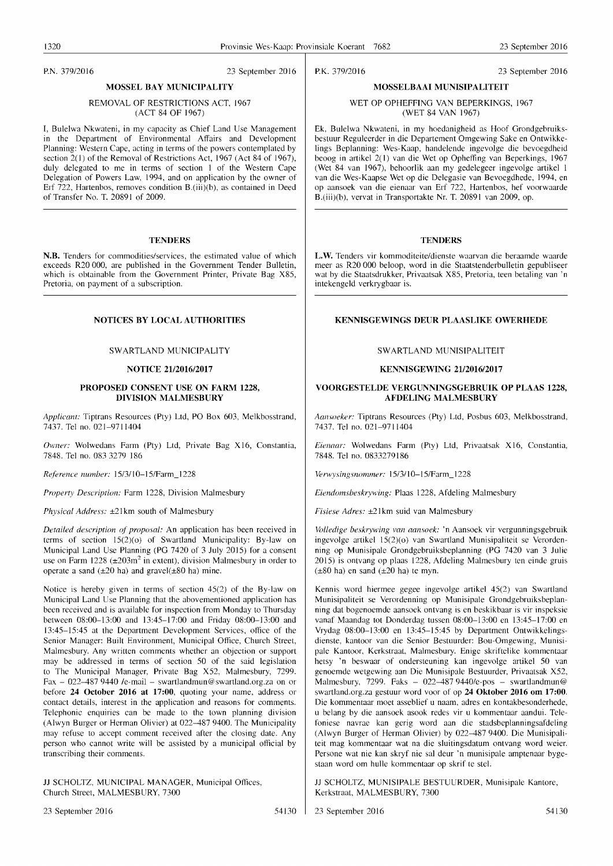P.N. 37912016 23 September 2016

# MOSSEL BAY MUNICIPALITY

# REMOVAL OF RESTRICTIONS ACT, 1967 (ACT 84 OF 1967)

I, Bulelwa Nkwateni, in my capacity as Chief Land Use Management in the Department of Environmental Affairs and Development Planning: Western Cape, acting in terms of the powers contemplated by section 2(1) of the Removal of Restrictions Act, 1967 (Act 84 of 1967), duly delegated to me in terms of section I of the Western Cape Delegation of Powers Law, 1994, and on application by the owner of Erf 722, Hartenbos, removes condition B.(iii)(b), as contained in Deed of Transfer No. T. 20891 of 2009.

# **TENDERS**

N.B. Tenders for commodities/services, the estimated value of which exceeds R20000, are published in the Government Tender Bulletin, which is obtainable from the Government Printer, Private Bag X85, Pretoria, on payment of a subscription.

# NOTICES BY LOCAL AUTHORITIES

# SWARTLAND MUNICIPALITY

# **NOTICE 21/2016/2017**

# PROPOSED CONSENT USE ON FARM 1228, DIVISION MALMESBURY

*Applicant:* Tiptrans Resources (Pty) Ltd, PO Box 603, Melkbosstrand, 7437. Tel no. 021-9711404

Owner: Wolwedans Farm (Pty) Ltd, Private Bag X16, Constantia, 7848. Tel no. 083 3279 186

*Reference number:* 15/3/10-15/Farm\_1228

*Property Description:* Farm 1228, Division Malmesbury

*Physical Address:* ±21 km south of Malmesbury

*Detailed description of proposal:* An application has been received in terms of section 15(2)(0) of Swartland Municipality: By-law on Municipal Land Use Planning (PG 7420 of 3 July 2015) for a consent use on Farm 1228 ( $\pm 203$ m<sup>2</sup> in extent), division Malmesbury in order to operate a sand  $(\pm 20 \text{ ha})$  and gravel $(\pm 80 \text{ ha})$  mine.

Notice is hereby given in terms of section 45(2) of the By-law on Municipal Land Use Planning that the abovementioned application has been received and is available for inspection from Monday to Thursday between 08:00-13:00 and 13:45-17:00 and Friday 08:00-13:00 and 13:45-15:45 at the Department Development Services, office of the Senior Manager: Built Environment, Municipal Office, Church Street, Malmesbury. Any written comments whether an objection or support may be addressed in terms of section 50 of the said legislation to The Municipal Manager, Private Bag X52, Malmesbury, 7299. Fax - 022-487 9440 /e-mail - swartlandmun@swartland.org.za on or before 24 October 2016 at 17:00, quoting your name, address or contact details, interest in the application and reasons for comments. Telephonic enquiries can be made to the town planning division (Alwyn Burger or Herman Olivier) at 022-487 9400. The Municipality may refuse to accept comment received after the closing date. Any person who cannot write will be assisted by a municipal official by transcribing their comments.

JJ SCHOLTZ, MUNICIPAL MANAGER, Municipal Offices, Church Street, MALMESBURY, 7300

23 September 2016 54130

KENNISGEWING 21/2016/2017

# VOORGESTELDE VERGUNNINGSGEBRUIK OP PLAAS 1228, AFDELING MALMESBURY

*Aansoeker:* Tiptrans Resources (Pty) Ltd, Posbus 603, Melkbosstrand, 7437. Tel no. 021-9711404

*Eiellaar:* Wolwedans Farm (Pty) Ltd, Privaatsak X16, Constantia, 7848. Tel no. 0833279186

*Verwysingsnommer:* 15/3/10-15/Farm\_1228

*Eiendomsbeskrywing: Plaas 1228, Afdeling Malmesbury* 

*Fisiese Adres:* ±21 km suid van Malmesbury

*\lolledige be.l'krywing van aansoek:* 'n Aansoek vir vergunningsgebruik ingevolge artikel 15(2)(0) van Swartland Munisipaliteit se Verordenning op Munisipale Grondgebruiksbeplanning (PG 7420 van 3 Julie 2015) is ontvang op plaas 1228, Afdeling Malmesbury ten einde gruis  $(\pm 80 \text{ ha})$  en sand  $(\pm 20 \text{ ha})$  te myn.

Kennis word hiermee gegee ingevolge artikel 45(2) van Swartland Munisipaliteit se Verordenning op Munisipale Grondgebruiksbeplanning dat bogenoemde aansoek ontvang is en beskikbaar is vir inspeksie vanaf Maandag tot Donderdag tussen 08:00-13:00 en 13:45-17:00 en Vrydag 08:00-13:00 en 13:45-15:45 by Department Ontwikkelingsdienste, kantoor van die Senior Bestuurder: Bou-Omgewing, Munisipale Kantoor, Kerkstraat, Malmesbury. Enige skriftelike kommentaar hetsy 'n beswaar of ondersteuning kan ingevolge artikel 50 van genoemde wetgewing aan Die Munisipale Bestuurder, Privaatsak X52, Malmesbury, 7299. Faks - 022-487 9440/e-pos - swartlandmun@ swartland.org.za gestuur word voor of op 24 Oktober 2016 om 17:00. Die kommentaar moet asseblief u naam, adres en kontakbesonderhede, u belang by die aansoek asook redes vir u kommentaar aandui. Telefoniese navrae kan gerig word aan die stadsbeplanningsafdeling (Alwyn Burger of Herman Olivier) by 022-4879400. Die Munisipaliteit mag kommentaar wat na die sluitingsdatum ontvang word weier. Persone wat nie kan skryf nie sal deur 'n munisipale amptenaar bygestaan word om hulle kommentaar op skrif te stel.

JJ SCHOLTZ, MUNISIPALE BESTUURDER, Munisipale Kantore, Kerkstraat, MALMESBURY, 7300

23 September 2016 54130

P.K. 37912016 23 September 2016

# MOSSELBAAI MUNISIPALITEIT WET OP OPHEFFING VAN BEPERKINGS, 1967

(WET 84 VAN 1967)

Ek, Bulelwa Nkwateni, in my hoedanigheid as Hoof Grondgebruiksbestuur Reguleerder in die Departement Omgewing Sake en Ontwikkelings Beplanning: Wes-Kaap, handelende ingevolge die bevoegdheid beoog in artikel 2(1) van die Wet op Opheffing van Beperkings, 1967 (Wet 84 van 1967), behoorlik aan my gedelegeer ingevolge artikel 1 van die Wes-Kaapse Wet op die Delegasie van Bevoegdhede, 1994, en op aansoek van die eienaar van Erf 722, Hartenbos, hef voorwaarde B.(iii)(b), vervat in Transportakte Nr. T. 20891 van 2009, op.

# **TENDERS**

L.W. Tenders vir kommoditeite/dienste waarvan die beraamde waarde meer as R20 000 beloop, word in die Staatstenderbulletin gepubliseer wat by die Staatsdrukker, Privaatsak X85, Pretoria, teen betaling van 'n intekengeld verkrygbaar is.

# KENNISGEWINGS DEUR PLAASLIKE OWERHEDE

# SW ARTLAND MUNISIPALITEIT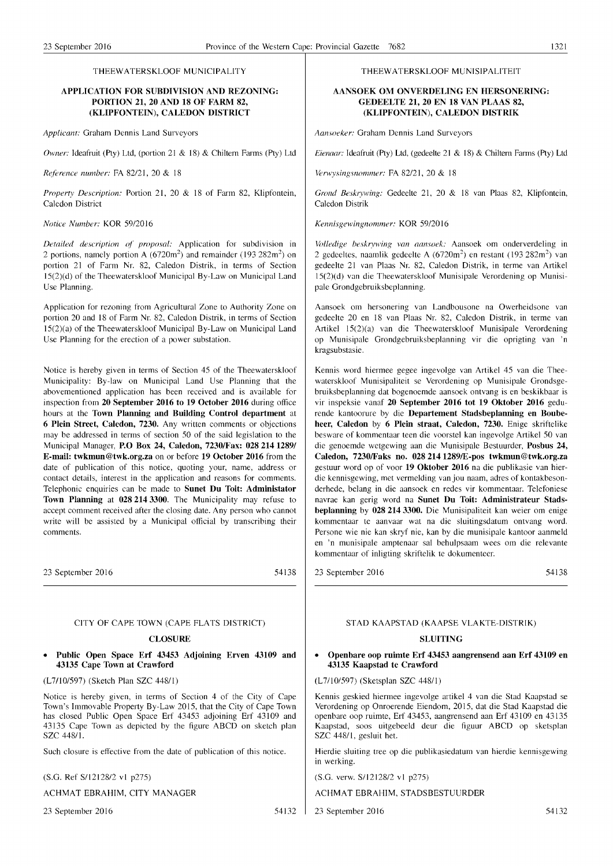# THEEW A TERSKLOOF MUNICIPALITY

# APPLICATION FOR SUBDIVISION AND REZONING: PORTION 21, 20 AND 18 OF FARM 82, (KLIPFONTEIN), CALEDON DISTRICT

*Applicant:* Graham Dennis Land Surveyors

*Owner:* Ideafruit (Pty) Ltd, (portion 21 & 18) & Chiltern Farms (Pty) Ltd

*Rererence number:* FA *82121,* 20 & 18

*Property Description:* Portion 21, 20 & 18 of Farm 82, Klipfontein, Caledon District

# *Notice Number:* KOR 5912016

*Detailed description or proposal:* Application for subdivision in 2 portions, namely portion A  $(6720m^2)$  and remainder  $(193 282m^2)$  on portion 21 of Farm Nr. 82, Caledon Distrik, in terms of Section 15(2)(d) of the Theewaterskloof Municipal By-Law on Municipal Land Use Planning.

Application for rezoning from Agricultural Zone to Authority Zone on portion 20 and 18 of Farm Nr. 82, Caledon Distrik, in terms of Section 15(2)(a) of the Theewaterskloof Municipal By-Law on Municipal Land Use Planning for the erection of a power substation.

Notice is hereby given in terms of Section 45 of the Theewaterskloof Municipality: By-law on Municipal Land Use Planning that the abovementioned application has been received and is available for inspection from 20 September 2016 to 19 October 2016 during office hours at the Town Planning and Building Control department at 6 Plein Street, Caledon, 7230. Any written comments or objections may be addressed in terms of section 50 of the said legislation to the Municipal Manager, P.O Box 24, Caledon, 7230/Fax: 0282141289/ E-mail: twkmun@twk.org.za on or before 19 October 2016 from the date of publication of this notice, quoting your, name, address or contact details, interest in the application and reasons for comments. Telephonic enquiries can be made to Sunet **Du** Toit: Administator Town Planning at 0282143300. The Municipality may refuse to accept comment received after the closing date. Any person who cannot write will be assisted by a Municipal official by transcribing their comments.

23 September 2016

54138

# CITY OF CAPE TOWN (CAPE FLATS DISTRICT)

# **CLOSURE**

• Public Open Space Erf 43453 Adjoining Erven 43109 and 43135 Cape Town at Crawford

(L7Il0/597) (Sketch Plan SZC 44811)

Notice is hereby given, in terms of Section 4 of the City of Cape Town's Immovable Property By-Law 2015, that the City of Cape Town has closed Public Open Space Erf 43453 adjoining Erf 43109 and 43135 Cape Town as depicted by the figure ABCD on sketch plan SZC 448/1.

Such closure is effective from the date of publication of this notice.

(S.G. Ref SI1212812 vI p275)

ACHMAT EBRAHIM, CITY MANAGER

23 September 2016 54132

# THEEW ATERSKLOOF MUNISIPALITEIT

# AANSOEK OM ONVERDELING EN HERSONERING: GEDEELTE 21, 20 EN 18 VAN PLAAS 82, (KLIPFONTEIN), CALEDON DISTRIK

*Aansoeker:* Graham Dennis Land Surveyors

*Eiennar:* ldeafruit (Pty) Ltd, (gedeelte 21 & 18) & Chiltern Farms (Pty) Ltd

*Verwysingsnommer:* FA 82/21, 20 & 18

*Grond Beskrywing:* Gedeelte 21, 20 & 18 van Plaas 82, Klipfontein, Caledon Distrik

*Kenni.l'gewingnommer:* KOR *5912016* 

*Volledige beskrywing van aansoek:* Aansoek om onderverdeling in 2 gedeeltes, naamlik gedeelte A  $(6720m^2)$  en restant  $(193 282m^2)$  van gedeelte 21 van Plaas Nr. 82, Caledon Distrik, in terme van Artikel 15(2)(d) van die Theewaterskloof Munisipale Verordening op Munisipale Grondgebruiksbeplanning.

Aansoek om hersonering van Landbousone na Owerheidsone van gedeelte 20 en 18 van Plaas Nr. 82, Caledon Distrik, in terme van Artikel 15(2)(a) van die Theewaterskloof Munisipale Verordening op Munisipale Grondgebruiksbeplanning vir die oprigting van 'n kragsubstasie.

Kennis word hiermee gegee ingevolge van Artikel 45 van die Theewaterskloof Munisipaliteit se Verordening op Munisipale Grondsgebruiksbeplanning dat bogenoemde aansoek ontvang is en beskikbaar is vir inspeksie vanaf 20 September 2016 tot 19 Oktober 2016 gedurende kantoorure by die Departement Stadsbeplanning en Boubeheer, Caledon by 6 Plein straat, Caledon, 7230. Enige skriftelike besware of kommentaar teen die voorstel kan ingevolge Artikel 50 van die genoemde wetgewing aan die Munisipale Bestuurder, Posbus 24, Caledon, 7230/Faks no. 028 2141289/E-pos twkmun@twk.org.za gestuur word op of voor 19 Oktober 2016 na die publikasie van hierdie kennisgewing, met vermelding van jou naam, adres of kontakbesonderhede, belang in die aansoek en redes vir kommentaar. Telefoniese navrae kan gerig word na Sunet **Du** Toit: Administrateur Stadsbeplanning by 0282143300. Die Munisipaliteit kan weier om enige kommentaar te aanvaar wat na die sluitingsdatum ontvang word. Persone wie nie kan skryf nie, kan by die munisipale kantoor aanmeld en 'n munisipale amptenaar sal behulpsaam wees om die relevante kommentaar of inligting skriftelik te dokumenteer.

23 September 2016

54138

# ST AD KAAPSTAD (KAAPSE VLAKTE-DISTRIK)

# SLUITING

# • Openbare oop ruimte Erf 43453 aangrensend aan Erf 43109 en 43135 Kaapstad te Crawford

(L7/10/597) (Sketsplan SZC 448/1)

Kennis geskied hiermee ingevolge artikel 4 van die Stad Kaapstad se Verordening op Onroerende Eiendom, 2015, dat die Stad Kaapstad die openbare oop ruimte, Erf 43453, aangrensend aan Erf 43109 en 43135 Kaapstad, soos uitgebeeld deur die figuur ABCD op sketsplan SZC 448/1, gesluit het.

Hierdie sluiting tree op die publikasiedatum van hierdie kennisgewing in werking.

(S.G. verw. *S/1212812* vI p275)

ACHMAT EBRAHIM, STADSBESTUURDER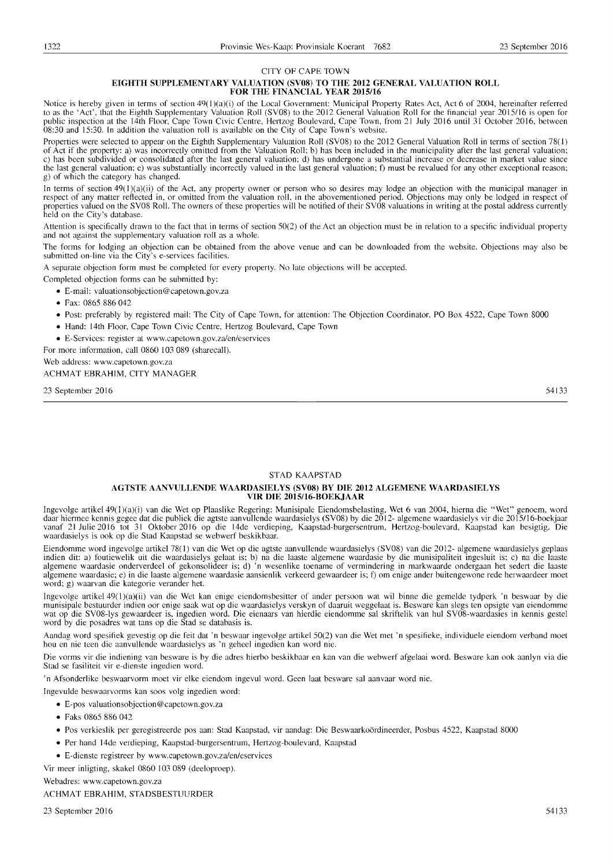# CITY OF CAPE TOWN

## **EIGHTH SUPPLEMENTARY VALUATION** (SV08) TO **THE 2012 GENERAL VALUATION ROLL FOR THE FINANCIAL YEAR 2015/16**

Notice is hereby given in terms of section 49(l)(a)(i) of the Local Government: Municipal Property Rates Act, Act 6 of 2004, hereinafter referred to as the 'Act', that the Eighth Supplementary Valuation Roll (SVOS) to the 2012 General Valuation Roll for the financial year 2015/16 is open for public inspection at the 14th Floor, Cape Town Civic Centre, Hertzog Boulevard, Cape Town, from 21 July 2016 until 31 October 2016, between OS:30 and 15:30. In addition the valuation roll is available on the City of Cape Town's website.

Properties were selected to appear on the Eighth Supplementary Valuation Roll (SV08) to the 2012 General Valuation Roll in terms of section 78(1) of Act if the property: a) was incorrectly omitted from the Valuation Roll: b) has been included in the municipality after the last general valuation; c) has been subdivided or consolidated after the last general valuation: d) has undergone a substantial increase or decrease in market value since the last general valuation: e) was substantially incorrectly valued in the last general valuation: t) must be revalued for any other exceptional reason; g) of which the category has changed.

In terms of section 49(1 )(a)(ii) of the Act, any property owner or person who so desires may lodge an objection with the municipal manager in respect of any matter reflected in, or omitted from the valuation roll, in the abovementioned period. Objections may only be lodged in respect of properties valued on the SVOS Roll. The owners of these properties will be notified of their SVOS valuations in writing at the postal address currently held on the City's database.

Attention is specifically drawn to the fact that in terms of section 50(2) of the Act an objection must be in relation to a specific individual property and not against the supplementary valuation roll as a whole.

The forms for lodging an objection can be obtained from the above venue and can be downloaded from the website. Objections may also be submitted on-line via the City's e-services facilities.

A separate objection form must be completed for every property. No late objections will be accepted.

Completed objection forms can be submitted by:

- E-mail: valuationsobjection@capetown.gov.za
- Fax: OS65 SS6 042
- Post: preferably by registered mail: The City of Cape Town, for attention: The Objection Coordinator, PO Box 4522, Cape Town SOOO
- Hand: 14th Floor, Cape Town Civic Centre, Hertzog Boulevard, Cape Town
- E-Services: register at www.capetown.gov.za/en/eservices

For more information, call OS60 103 OS9 (sharecall).

Web address: www.capetown.gov.za

ACHMAT EBRAHIM, CITY MANAGER

23 September 2016

54133

# STAD KAAPSTAD

# AGTSTE **AANVULLENDE WAARDASIELYS** (SV08) **BY DIE 2012 ALGEMENE WAARDASIELYS VIR DIE 2015/16-BOEKJAAR**

Ingevolge artikeI49(1)(a)(i) van die Wet op Plaaslike Regering: Munisipale Eiendomsbelasting, Wet 6 van 2004, hierna die "Wet" genoem, word daar hiermee kennis gegee dat die publiek die agtste aanvullende waardasielys (SV08) by die 2012- algemene waardasielys vir die 2015/16-boekjaar vanaf 21 Julie 2016 tot 31 Oktober 2016 op die 14de verdieping, Kaapstad-burgersentrum, Hertzog-boulevard, Kaapstad kan besigtig. Die waardasielys is ook op die Stad Kaapstad se webwerf beskikbaar.

Eiendomme word ingevolge artikel 7S(I) van die Wet op die agtste aanvullende waardasielys (SVOS) van die 2012- algemene waardasielys geplaas indien dit: a) foutiewelik uit die waardasielys gelaat is; b) na die laaste algemene waardasie by die munisipaliteit ingesluit is; c) na die laaste algemene waardasie onderverdeel of gekonsolideer is; d) 'n wesenlike toename of vermindering in markwaarde ondergaan het sedert die laaste algemene waardasie: e) in die laaste algemene waardasie aansienlik verkeerd gewaardeer is; t) om enige ander buitengewone rede herwaardeer moet word; g) waarvan die kategorie verander het.

Ingevolge artikeI49(1)(a)(ii) van die Wet kan enige eiendomsbesitter of ander persoon wat wil binne die gemelde tydperk 'n beswaar by die munisipale bestuurder indien oor enige saak wat op die waardasielys verskyn of daaruit weggelaat is. Besware kan slegs ten opsigte van eiendomme wat op die SVOS-Iys gewaardeer is, ingedien word. Die eienaars van hierdie eiendomme sal skriftelik van hul SVOS-waardasies in kennis gestel word by die posadres wat tans op die Stad se databasis is.

Aandag word spesifiek gevestig op die feit dat 'n beswaar ingevolge artikel 50(2) van die Wet met 'n spesifieke, individuele eiendom verband moet hou en nie teen die aanvullende waardasielys as 'n geheel ingedien kan word nie.

Die vorms vir die indiening van besware is by die adres hierbo beskikbaar en kan van die webwerf afgelaai word. Besware kan ook aanlyn via die Stad se fasiliteit vir e-dienste ingedien word.

'n Afsonderlike beswaarvorm moet vir elke eiendom ingevul word. Geen laat besware sal aanvaar word nie.

Ingevulde beswaarvorms kan soos volg ingedien word:

- E-pos valuationsobjection@capetown.gov.za
- Faks OS65 SS6 042
- Pos verkieslik per geregistreerde pos aan: Stad Kaapstad, vir aandag: Die Beswaarkoordineerder, Posbus 4522, Kaapstad SOOO
- Per hand 14de verdieping, Kaapstad-burgersentrum, Hertzog-boulevard, Kaapstad
- E-dienste registreer by www.capetown.gov.zalen/eservices

Vir meer inligting, skakel OS60 103 OS9 (deeloproep).

Webadres: www.capetown.gov.za

ACHMAT EBRAHIM, STADSBESTUURDER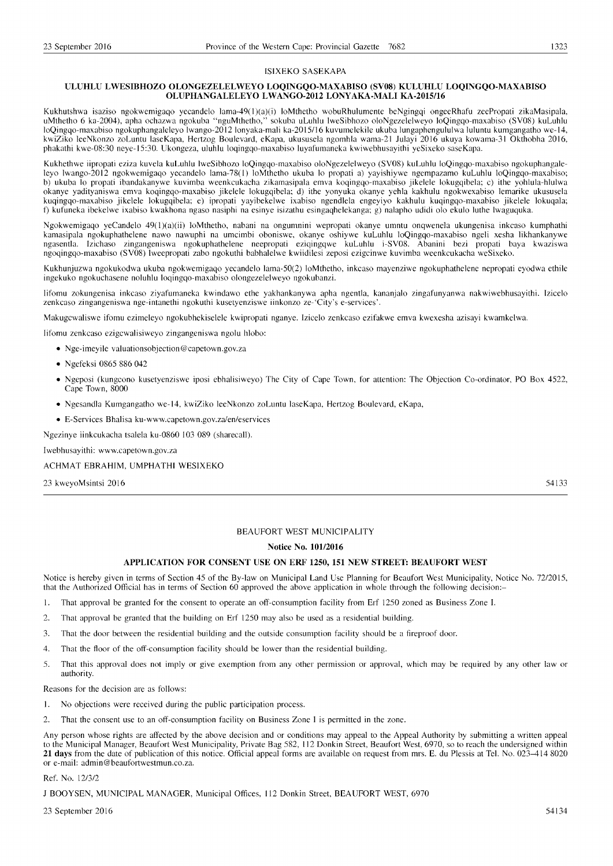### ISIXEKO SASEKAPA

# **ULUHLU LWESIBHOZO OLONGEZELELWEYO LOQINGQO-MAXABISO (SY08) KULUHLU LOQINGQO-MAXABISO OLUPHANGALELEYO LWANGO-2012 LONY AKA-MALI KA-2015/16**

Kukhutshwa isaziso ngokwemigaqo yecandelo lama-49(1)(a)(i) loMthetho wobuRhulumente beNgingqi ongeeRhafu zeePropati zikaMasipala, uMthetho 6 ka-2004), apha ochazwa ngokuba ''nguMthetho,'' sokuba uLuhlu lweSibhozo oloNgezelelweyo loQingqo-maxabiso (SV08) kuLuhlu<br>loQingqo-maxabiso ngokuphangaleleyo lwango-2012 lonyaka-mali ka-2015/16 kuvumelekile ukuba kwiZiko leeNkonzo zoLuntu laseKapa, Hertzog Boulevard, eKapa, ukususela ngomhla wama-21 Julayi 2016 ukuya kowama-31 Okthobha 2016, phakathi kwe-08:30 neye-15:30. Ukongeza, uluhlu loqingqo-maxabiso luyafumaneka kwiwebhusayithi yeSixeko saseKapa.

Kukhethwe iipropati eziza kuvela kuLuhlu lweSibhozo loQingqo-maxabiso oloNgezelelweyo (SV08) kuLuhlu loQingqo-maxabiso ngokuphangaleleyo Iwango-2012 ngokwemigaqo yecandelo lama-78(1) loMthetho ukuba lo propati a) yayishiywe ngempazamo kuLuhlu loQingqo-maxabiso; b) ukuba lo propati ibandakanywe kuvimba weenkcukacha zikamasipala emva koqingqo-maxabiso jikelele lokugqibela; c) ithe yohlula-hlulwa okanye yadityaniswa emva koqingqo-maxabiso jikelele lokugqibela; d) ithe yonyuka okanye yehla kakhulu ngokwexabiso lemarike ukususela kuqingqo-maxabiso jikelele lokugqibela; e) ipropati yayibekelwe ixabiso ngendlela engeyiyo kakhulu kuqingqo-maxabiso jikelele lokuqala; f) kufuneka ibekelwe ixabiso kwakhona ngaso nasiphi na esinye isizathu esingaqhelekanga; g) nalapho udidi olo ekulo luthe Iwaguquka.

Ngokwemigaqo yeCandelo 49(1)(a)(ii) loMthetho, nabani na ongumnini wepropati okanye umntu onqwenela ukungenisa inkcaso kumphathi kamasipala ngokuphathelene nawo nawuphi na umcimbi oboniswe, okanye oshiywe kuLuhlu loQingqo-maxabiso ngeli xesha likhankanywe ngasentla. Izichaso zingangeniswa ngokuphathelene neepropati eziqingqwe kuLuhlu i-SV08. Abanini bezi propati baya kwaziswa ngoqingqo-maxabiso (SV08) lweepropati zabo ngokuthi babhalelwe kwiidilesi zeposi ezigcinwe kuvimba weenkcukacha weSixeko.

Kukhunjuzwa ngokukodwa ukuba ngokwemigaqo yecandelo lama-50(2) loMthetho, inkcaso mayenziwe ngokuphathelene nepropati eyodwa ethile ingekuko ngokuchasene noluhlu loqingqo-maxabiso olongezelelweyo ngokubanzi.

lifomu zokungenisa inkcaso ziyafumaneka kwindawo ethe yakhankanywa apha ngentla, kananjalo zingafunyanwa nakwiwebhusayithi. Izicelo zenkcaso zingangeniswa nge-intanethi ngokuthi kusetyenziswe iinkonzo ze-'City's e-services'.

Makugcwaliswe ifomu ezimeleyo ngokubhekiselele kwipropati nganye. Izicelo zenkcaso ezifakwe emva kwexesha azisayi kwamkelwa.

Iifomu zenkcaso ezigcwalisiweyo zingangeniswa ngolu hlobo:

- Nge-imeyile valuationsobjection@capetown.gov.za
- Ngefeksi 0865 886042
- Ngeposi (kungcono kusetyenziswe iposi ebhalisiweyo) The City of Cape Town, for attention: The Objection Co-ordinator, PO Box 4522, Cape Town, 8000
- Ngesandla Kumgangatho we-14, kwiZiko leeNkonzo zoLuntu laseKapa, Hertzog Boulevard, eKapa,
- E-Services Bhalisa ku-www.capetown.gov.za/en/eservices

Ngezinye iinkcukacha tsalela ku-0860 103 089 (sharecall).

Iwebhusayithi: www.capetown.gov.za

ACHMAT EBRAHIM, UMPHATHI WESIXEKO

23 kweyoMsintsi 2016

54133

# BEAUFORT WEST MUNICIPALITY

# **Notice No. 10112016**

# **APPLICATION FOR CONSENT USE ON ERF 1250, 151 NEW STREET: BEAUFORT WEST**

Notice is hereby given in terms of Section 45 of the By-law on Municipal Land Use Planning for Beaufort West Municipality, Notice No. 72/2015, that the Authorized Official has in terms of Section 60 approved the above application in whole through the following decision:-

- 1. That approval be granted for the consent to operate an off-consumption facility from Erf 1250 zoned as Business Zone I.
- 2. That approval be granted that the building on Erf 1250 may also be used as a residential building.
- 3. That the door between the residential building and the outside consumption facility should be a fireproof door.
- 4. That the floor of the off-consumption facility should be lower than the residential building.
- 5. That this approval does not imply or give exemption from any other permission or approval, which may be required by any other law or authority.

Reasons for the decision are as follows:

- 1. No objections were received during the public participation process.
- 2. That the consent use to an off-consumption facility on Business Zone I is permitted in the zone.

Any person whose rights are affected by the above decision and or conditions may appeal to the Appeal Authority by submitting a written appeal to the Municipal Manager, Beaufort West Municipality, Private Bag 582, 112 Donkin Street, Beaufort West, 6970, so to reach the undersigned within **21 days** from the date of publication of this notice. Official appeal forms are available on request from mrs. E. du Plessis at Tel. No. 023-414 8020 or e-mail: admin@beaufortwestmun.co.za.

# Ref. No. 12/312

J BOOYSEN, MUNICIPAL MANAGER, Municipal Offices, 112 Donkin Street, BEAUFORT WEST, 6970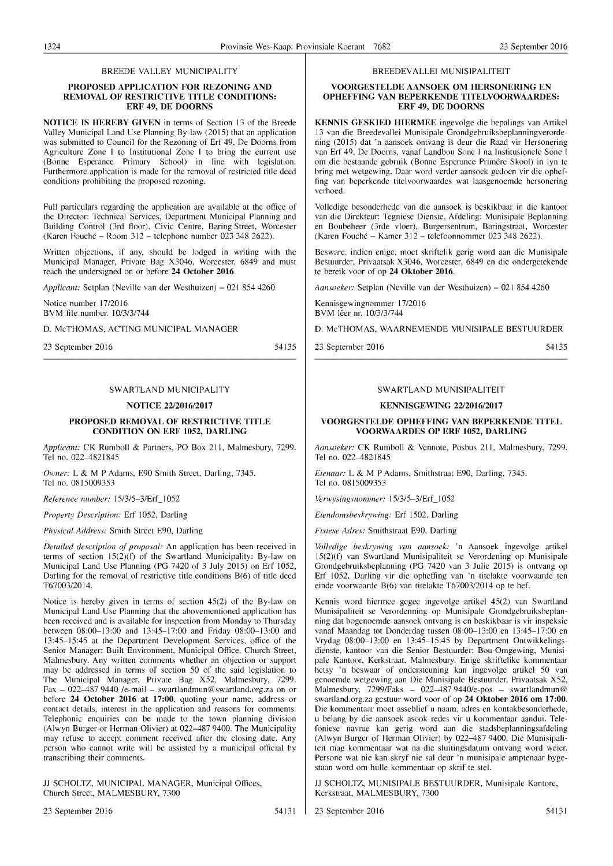# BREEDE VALLEY MUNICIPALITY

# **PROPOSED APPLICATION FOR REZONING AND REMOVAL OF RESTRICTIVE TITLE CONDITIONS: ERF** 49, **DE DOORNS**

**NOTICE IS HEREBY GIVEN** in terms of Section 13 of the Breede Valley Municipal Land Use Planning By-law (2015) that an application was submitted to Council for the Rezoning of Erf 49, De Dooms from Agriculture Zone I to Institutional Zone I to bring the current use (Bonne Esperance Primary School) in line with legislation. Furthermore application is made for the removal of restricted title deed conditions prohibiting the proposed rezoning.

Full particulars regarding the application are available at the office of the Director: Technical Services, Department Municipal Planning and Building Control (3rd floor), Civic Centre, Baring Street, Worcester (Karen Fouche - Room 312 - telephone number 023 348 2622).

Written objections, if any, should be lodged in writing with the Municipal Manager, Private Bag X3046, Worcester, 6849 and must reach the undersigned on or before **24 October 2016.** 

*Applicant: Setplan (Neville van der Westhuizen) – 021 854 4260* 

Notice number 17/2016 BVM file number. 10/3/31744

D. McTHOMAS, ACTING MUNICIPAL MANAGER

23 September 2016

54135

# SWARTLAND MUNICIPALITY

# **NOTICE 22/2016/2017**

# **PROPOSED REMOVAL OF RESTRICTIVE TITLE CONDITION ON ERF 1052, DARLING**

*Applicant:* CK Rumboll & Partners, PO Box 211, Malmesbury, 7299. Tel no. 022-4821845

*Owner:* L & M P Adams, E90 Smith Street, Darling, 7345. Tel no. 08 I 5009353

*Reference number:* 15/3/5-3/Erf\_1052

*Property Description: Erf 1052, Darling* 

*Physical Address:* Smith Street E90, Darling

*Detailed description of proposal:* An application has been received in terms of section 15(2)(f) of the Swartland Municipality: By-law on Municipal Land Use Planning (PG 7420 of 3 July 2015) on Erf 1052, Darling for the removal of restrictive title conditions  $B(6)$  of title deed T67003/2014.

Notice is hereby given in terms of section 45(2) of the By-law on Municipal Land Use Planning that the abovementioned application has been received and is available for inspection from Monday to Thursday between 08:00-13:00 and 13:45-17:00 and Friday 08:00-13:00 and 13:45-15:45 at the Department Development Services, office of the Senior Manager: Built Environment, Municipal Office, Church Street, Malmesbury. Any written comments whether an objection or support may be addressed in terms of section 50 of the said legislation to The Municipal Manager, Private Bag X52, Malmesbury, 7299. Fax - 022-487 9440 /e-mail - swartlandmun@swartland.org.za on or before **24 October 2016 at 17:00,** quoting your name, address or contact details, interest in the application and reasons for comments. Telephonic enquiries can be made to the town planning division (Alwyn Burger or Herman Olivier) at 022-487 9400. The Municipality may refuse to accept comment received after the closing date. Any person who cannot write will be assisted by a municipal official by transcribing their comments.

JJ SCHOLTZ, MUNICIPAL MANAGER, Municipal Offices, Church Street, MALMESBURY, 7300

BREEDEV ALLEI MUNISIPALITEIT

# **VOORGESTELDE AANSOEK OM HERSONERING EN OPHEFFING VAN BEPERKENDE TITELVOORWAARDES: ERF** 49, **DE DOORNS**

**KENNIS GESKIED HIERMEE** ingevolge die bepalings van Artikel 13 van die Breedevallei Munisipale Grondgebruiksbeplanningverordening (2015) dat 'n aansoek ontvang is deur die Raad vir Hersonering van Erf 49, De Dooms, vanaf Landbou Sone I na Institusionele Sone I om die bestaande gebruik (Bonne Esperance Primere Skool) in Iyn te bring met wetgewing. Daar word verder aansoek gedoen vir die opheffing van beperkende titelvoorwaardes wat laasgenoemde hersonering verhoed.

Volledige besonderhede van die aansoek is beskikbaar in die kantoor van die Direkteur: Tegniese Dienste, Afdeling: Munisipale Beplanning en Boubeheer (3rde vloer), Burgersentrum, Baringstraat, Worcester (Karen Fouche - Kamer 312 - telefoonnommer 023 348 2622).

Besware, indien enige, moet skriftelik gerig word aan die Munisipale Bestuurder, Privaatsak X3046, Worcester, 6849 en die ondergetekende te bereik voor of op **24 Oktober 2016.** 

*Aansocker:* Setplan (Neville van der Westhuizen) - 021 8544260

Kennisgewingnommer 17/2016 BVM leer nr. 10/3/31744

D. McTHOMAS, WAARNEMENDE MUNISIPALE BESTUURDER

23 September 2016 54135

# SWARTLAND MUNISIPALITElT

# **KENNISGEWING 22/2016/2017**

# **VOORGESTELDE OPHEFFING VAN BEPERKENDE TITEL VOORWAARDES OP ERF 1052, DARLING**

*Aallsoeker:* CK Rumboll & Vennote, Posbus 211, Malmesbury, 7299. Tel no. 022-4821845

*Eienaar:* L & M P Adams, Smithstraat E90, Darling, 7345. Tel no. 0815009353

*Verwysingsnommer:* 15/3/5-3/Erf\_1052

*Eiendomsbeskrywing: Erf 1502, Darling* 

*Fisiese Adres:* Smithstraat E90, Darling

*Volledige beskrywing van aansoek:* 'n Aansoek ingevolge artikel 15(2)(f) van Swartland Munisipaliteit se Verordening op Munisipale Grondgebruiksbeplanning (PG 7420 van 3 Julie 2015) is ontvang op Erf 1052, Darling vir die opheffing van 'n titelakte voorwaarde ten einde voorwaarde B(6) van titelakte T67003/2014 op te hef.

Kennis word hiermee gegee ingevolge artikel 45(2) van Swartland Munisipaliteit se Verordenning op Munisipale Grondgebruiksbeplanning dat bogenoemde aansoek ontvang is en beskikbaar is vir inspeksie vanaf Maandag tot Donderdag tussen 08:00-13:00 en 13:45-17:00 en Vrydag 08:00-13:00 en 13:45-15:45 by Department Ontwikkelingsdienste, kantoor van die Senior Bestuurder: Bou-Omgewing, Munisipale Kantoor, Kerkstraat, Malmesbury. Enige skriftelike kommentaar hetsy 'n beswaar of ondersteuning kan ingevolge artikel 50 van genoemde wetgewing aan Die Munisipale Bestuurder, Privaatsak X52, Malmesbury,  $7299$ /Faks - 022-487 9440/e-pos - swartlandmun@ swartland.org.za gestuur word voor of op **24 Oktober 2016 om 17:00.**  Die kommentaar moet asseblief u naam, adres en kontakbesonderhede, u belang by die aansoek asook redes vir u kommentaar aandui. Telefoniese navrae kan gerig word aan die stadsbeplanningsafdeling (Alwyn Burger of Herman Olivier) by 022-4879400. Die Munisipaliteit mag kommentaar wat na die sluitingsdatum ontvang word weier. Persone wat nie kan skryf nie sal deur 'n munisipale amptenaar bygestaan word om hulle kommentaar op skrif te stel.

JJ SCHOLTZ, MUNISIPALE BESTUURDER, Munisipale Kantore, Kerkstraat, MALMESBURY, 7300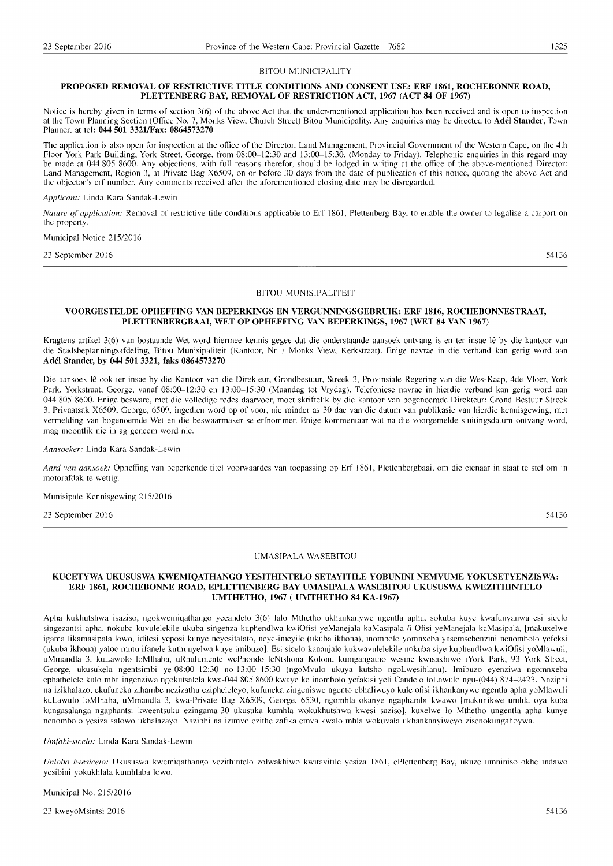## BITOU MUNICIPALITY

# PROPOSED REMOVAL OF RESTRICTIVE TITLE CONDITIONS AND CONSENT USE: ERF 1861, ROCHEBONNE ROAD, **PLETTENBERG BAY, REMOVAL OF RESTRICTION ACT, 1967 (ACT 84 OF 1967)**

Notice is hereby given in terms of section  $3(6)$  of the above Act that the under-mentioned application has been received and is open to inspection at the Town Planning Section (Office No. 7, Monks View, Church Street) Bitou Municipality. Any enquiries may be directed to Adel Stander, Town Planner, at tel: **044501 3321/Fax: 0864573270** 

The application is also open for inspection at the office of the Director, Land Management, Provincial Government of the Western Cape, on the 4th Floor York Park Building, York Street, George, from 08:00-12:30 and 13:00-15:30. (Monday to Friday). Telephonic enquiries in this regard may be made at 044 805 8600. Any objections, with full reasons therefor, should be lodged in writing at the office of the above-mentioned Director: Land Management, Region 3, at Private Bag X6509, on or before 30 days from the date of publication of this notice, quoting the above Act and the objector's erf number. Any comments received after the aforementioned closing date may be disregarded.

Applicant: Linda Kara Sandak-Lewin

Nature of application: Removal of restrictive title conditions applicable to Erf 1861, Plettenberg Bay, to enable the owner to legalise a carport on the property.

Municipal Notice 215/2016

23 September 2016

54136

# BITOU MUNISIPALITEIT

# **VOORGESTELDE OPHEFFING VAN BEPERKINGS EN VERGUNNINGSGEBRUIK: ERF 1816, ROCHEBONNESTRAAT, PLETTENBERGBAAI, WET OP OPHEFFING VAN BEPERKINGS, 1967 (WET 84 VAN 1967)**

Kragtens artikel 3(6) van bostaande Wet word hiermee kennis gegee dat die onderstaande aansoek ontvang is en ter insae Ie by die kantoor van die Stadsbeplanningsafdeling, Bitou Munisipaliteit (Kantoor, Nr 7 Monks View, Kerkstraat). Enige navrae in die verband kan gerig word aan **Adel Stander, by 044 501 3321, faks 0864573270.** 

Die aansoek lê ook ter insae by die Kantoor van die Direkteur, Grondbestuur, Streek 3, Provinsiale Regering van die Wes-Kaap, 4de Vloer, York Park, Yorkstraat, George, vanaf 08:00-12:30 en 13:00-15:30 (Maandag tot Vrydag). Telefoniese navrae in hierdie verband kan gerig word aan **044** 805 8600. Enige besware, met die volledige redes daarvoor, moet skriftelik by die kantoor van bogenoemde Direkteur: Grond Bestuur Streek 3, Privaatsak X6509, George, 6509, ingedien word op of voor, nie minder as 30 dae van die datum van publikasie van hierdie kennisgewing, met vermelding van bogenoemde Wet en die beswaarmaker se erfnommer. Enige kommentaar wat na die voorgemelde sluitingsdatum ontvang word, mag moontlik nie in ag geneem word nie.

*Aansoeker:* Linda Kara Sandak-Lewin

*Aard van aansoek:* Opheffing van beperkende titel voorwaardes van toepassing op Erf 1861, Plettenbergbaai, om die eienaar in staat te stel om 'n motorafdak te wettig.

# Munisipale Kennisgewing 215/2016

23 September 2016 54136

# UMASIPALA WASEBITOU

# **KUCETYWA UKUSUSWA KWEMIQATHANGO YESITHINTELO SETAYITILE YOBUNINI NEMVUME YOKUSETYENZISWA: ERF 1861, ROCHEBONNE ROAD, EPLETTENBERG BAY UMASIPALA WASEBITOU UKUSUSWA KWEZITHINTELO UMTHETHO, 1967 (UMTHETHO 84 KA-1967)**

Apha kukhutshwa isaziso, ngokwemiqathango yecandelo 3(6) lalo Mthetho ukhankanywe ngentla apha, sokuba kuye kwafunyanwa esi sicelo singezantsi apha, nokuba kuvulelekile ukuba singenza kuphendlwa kwiOfisi yeManejala kaMasipala li-Ofisi yeManejala kaMasipala, [makuxelwe igama likamasipala lowo, idilesi yeposi kunye neyesitalato, neye-imeyile (ukuba ikhona), inombolo yomnxeba yasemsebenzini nenombolo yefeksi (ukuba ikhona) yaloo mntu ifanele kuthunyelwa kuye imibuzol. Esi sicelo kananjalo kukwavulelekile nokuba siye kuphendlwa kwiOfisi yoMlawuli, uMmandla 3, kuLawolo loMlhaba, uRhulumente wePhondo leNtshona Koloni, kumgangatho wesine kwisakhiwo iYork Park, 93 York Street, George, ukusukela ngentsimbi ye-08:00-12:30 no-13:00-15:30 (ngoMvulo ukuya kutsho ngoLwesihlanu). Imibuzo eyenziwa ngomnxeba ephathelele kulo mba ingenziwa ngokutsalela kwa-044 805 8600 kwaye ke inombolo yefakisi yeli Candelo loLawulo ngu-(044) 874-2423. Naziphi na izikhalazo, ekufuneka zihambe nezizathu ezipheleleyo, kufuneka zingeniswe ngento ebhaliweyo kule ofisi ikhankanywe ngentla apha yoMlawuli kuLawulo loMlhaba, uMmandla 3, kwa-Private Bag X6509, George, 6530, ngomhla okanye ngaphambi kwawo [makunikwe umhla oya kuba kungasalanga ngaphantsi kweentsuku ezingama-30 ukusuka kumhla wokukhutshwa kwesi saziso], kuxelwe lo Mthetho ungentla apha kunye nenombolo yesiza salowo ukhalazayo. Naziphi na izimvo ezithe zafika emva kwalo mhla wokuvala ukhankanyiweyo zisenokungahoywa.

*Um!aki-sicelo:* Linda Kara Sandak-Lewin

*Uhlovo lwesicelo:* Ukususwa kwemiqathango yezithintelo zolwakhiwo kwitayitile yesiza 1861, ePlettenberg Bay, ukuze umniniso okhe indawo yesibini yokukhlala kumhlaba lowo.

# Municipal No. 215/2016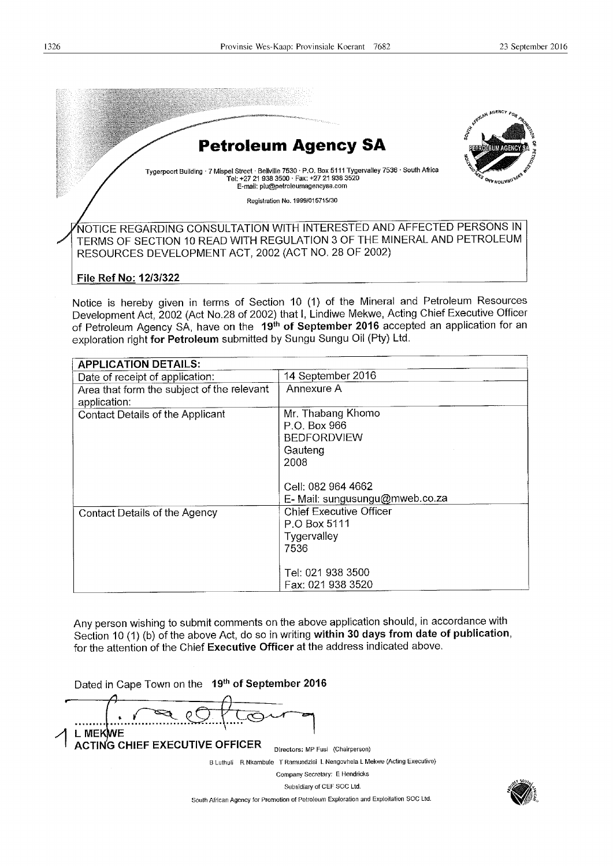

TERMS OF SECTION 10 READ WITH REGULATION 3 OF THE MINERAL AND PETROLEUM RESOURCES DEVELOPMENT ACT, 2002 (ACT NO. 28 OF 2002)

# File Ref No: 12/3/322

Notice is hereby given in terms of Section 10 (1) of the Mineral and Petroleum Resources Development Act, 2002 (Act No.28 of 2002) that I, Lindiwe Mekwe, Acting Chief Executive Officer of Petroleum Agency SA, have on the 19<sup>th</sup> of September 2016 accepted an application for an exploration right for Petroleum submitted by Sungu Sungu Oil (Pty) Ltd.

| <b>APPLICATION DETAILS:</b>                                |                                                                            |
|------------------------------------------------------------|----------------------------------------------------------------------------|
| Date of receipt of application:                            | 14 September 2016                                                          |
| Area that form the subject of the relevant<br>application: | Annexure A                                                                 |
| Contact Details of the Applicant                           | Mr. Thabang Khomo<br>P.O. Box 966<br><b>BEDFORDVIEW</b><br>Gauteng<br>2008 |
|                                                            | Cell: 082 964 4662<br>E- Mail: sungusungu@mweb.co.za                       |
| Contact Details of the Agency                              | <b>Chief Executive Officer</b><br>P.O Box 5111<br>Tygervalley<br>7536      |
|                                                            | Tel: 021 938 3500<br>Fax: 021 938 3520                                     |

Any person wishing to submit comments on the above application should, in accordance with Section 10 (1) (b) of the above Act, do so in writing within 30 days from date of publication, for the attention of the Chief Executive Officer at the address indicated above.

Dated in Cape Town on the 19th of September 2016 ........... ~ 1 L MEKWE<br>ACTING CHIEF EXECUTIVE OFFICER Directors: MP Fusi (Chairperson)

B Luthuli R Nkambule T Ramuedzisi L Nengovhela L Mekwe (Acting Executive)

Company Secretary: E Hendricks Subsidiary of CEF SOC Ltd.

South African Agency for Promotion of Petroleum Exploration and EXploitation SOC Ltd.

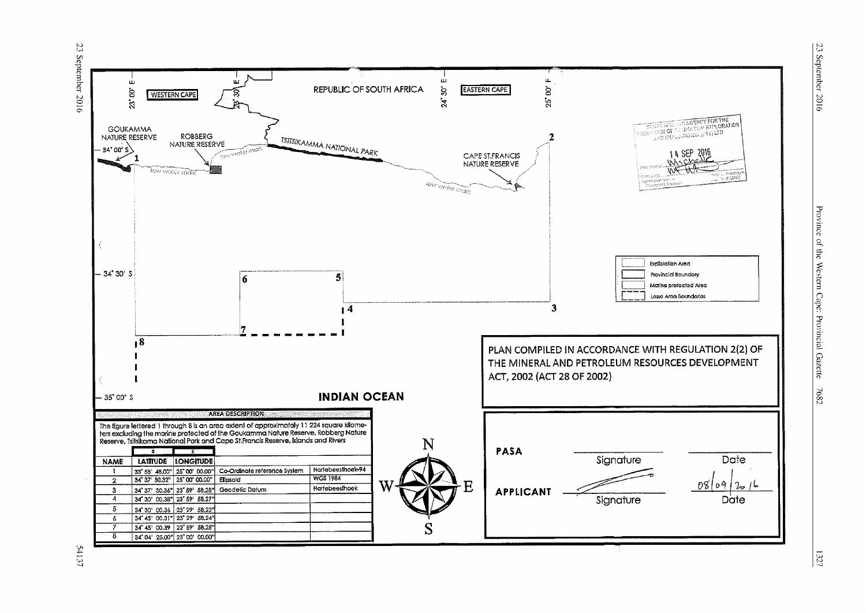23 September 2016



Province of the Western Cape: Provincial Gazette 7682

54137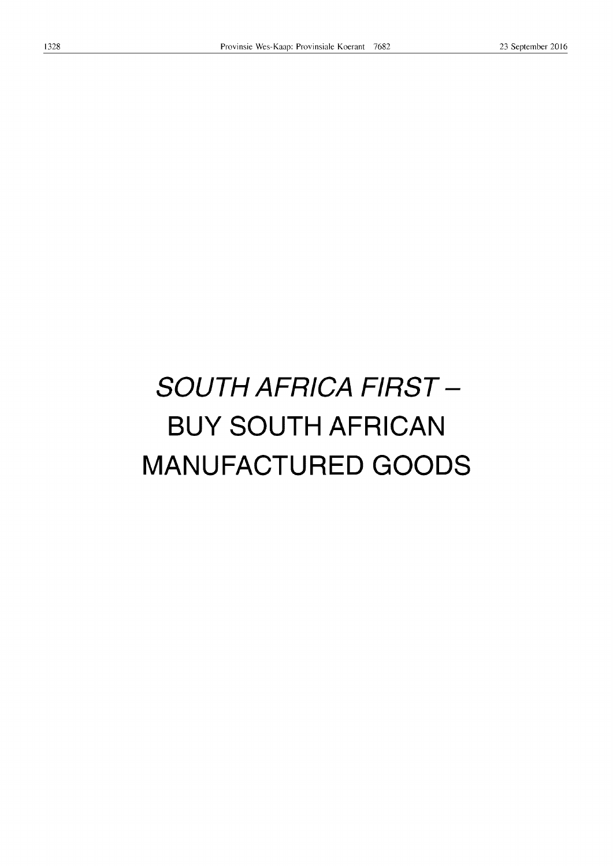# **SOUTH AFRICA FIRST - BUY SOUTH AFRICAN MANUFACTURED GOODS**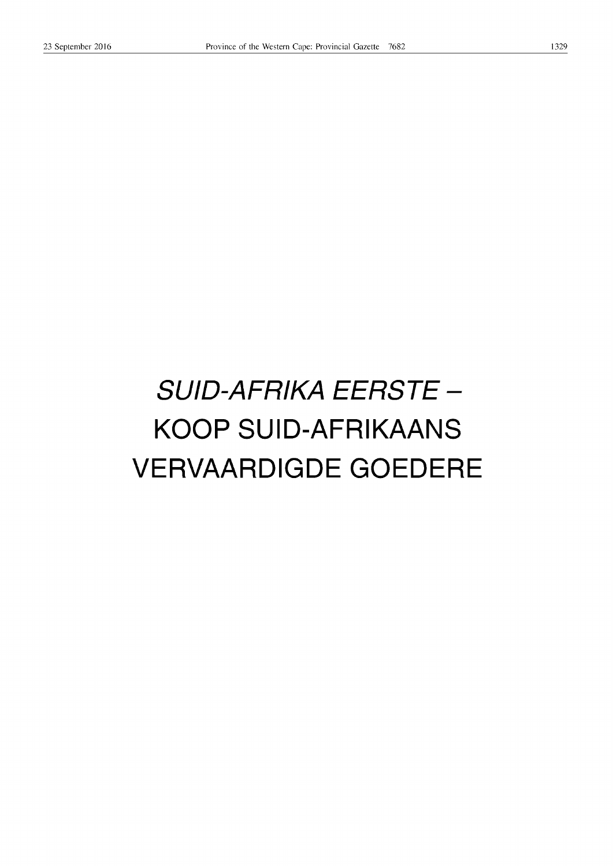# **SUID-AFRIKA EERSTE -KOOP SUID-AFRIKAANS VERVAARDIGDE GOEDERE**